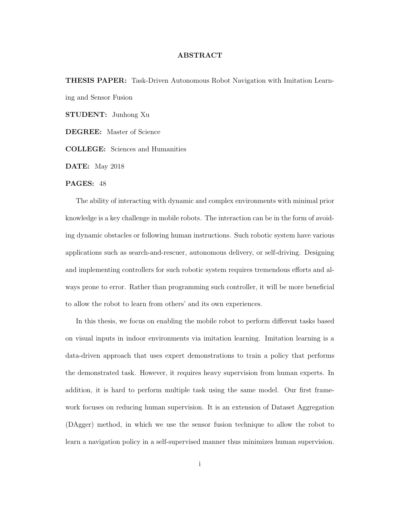## ABSTRACT

THESIS PAPER: Task-Driven Autonomous Robot Navigation with Imitation Learning and Sensor Fusion

STUDENT: Junhong Xu

DEGREE: Master of Science

COLLEGE: Sciences and Humanities

DATE: May 2018

## PAGES: 48

The ability of interacting with dynamic and complex environments with minimal prior knowledge is a key challenge in mobile robots. The interaction can be in the form of avoiding dynamic obstacles or following human instructions. Such robotic system have various applications such as search-and-rescuer, autonomous delivery, or self-driving. Designing and implementing controllers for such robotic system requires tremendous efforts and always prone to error. Rather than programming such controller, it will be more beneficial to allow the robot to learn from others' and its own experiences.

In this thesis, we focus on enabling the mobile robot to perform different tasks based on visual inputs in indoor environments via imitation learning. Imitation learning is a data-driven approach that uses expert demonstrations to train a policy that performs the demonstrated task. However, it requires heavy supervision from human experts. In addition, it is hard to perform multiple task using the same model. Our first framework focuses on reducing human supervision. It is an extension of Dataset Aggregation (DAgger) method, in which we use the sensor fusion technique to allow the robot to learn a navigation policy in a self-supervised manner thus minimizes human supervision.